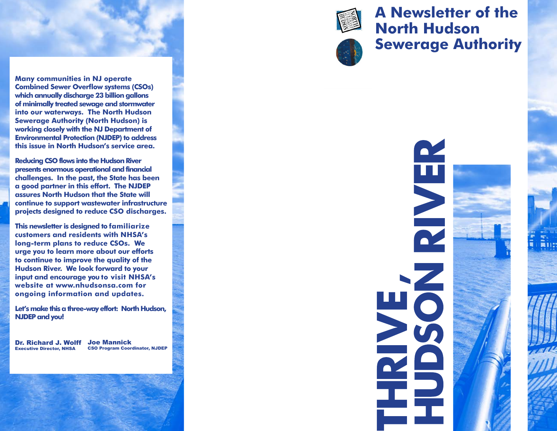

**Many communities in NJ operate Combined Sewer Overflow systems (CSOs) which annually discharge 23 billion gallons of minimally treated sewage and stormwater into our waterways. The North Hudson Sewerage Authority (North Hudson) is working closely with the NJ Department of Environmental Protection (NJDEP) to address this issue in North Hudson's service area.** 

**Reducing CSO flows into the Hudson River presents enormous operational and financial challenges. In the past, the State has been a good partner in this effort. The NJDEP assures North Hudson that the State will continue to support wastewater infrastructure projects designed to reduce CSO discharges.**

**This newsletter is designed to familiarize customers and residents with NHSA's long-term plans to reduce CSOs. We urge you to learn more about our efforts to continue to improve the quality of the Hudson River. We look forward to your input and encourage you to visit NHSA's website at www.nhudsonsa.com for ongoing information and updates.** 

**Let's make this a three-way effort: North Hudson, NJDEP and you!**

Dr. Richard J. Wolff Joe Mannick Executive Director, NHSA CSO Program Coordinator, NJDEP



## **A Newsletter of the North Hudson Sewerage Authority**